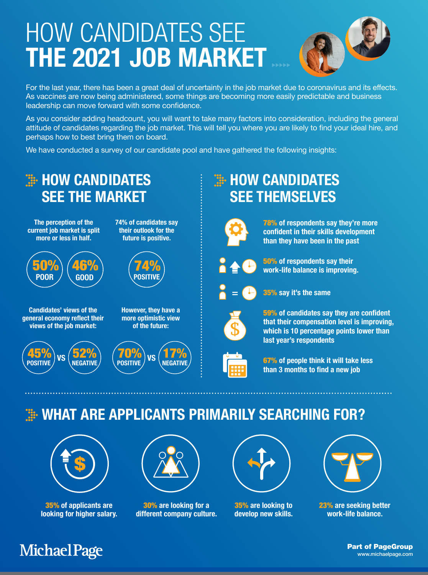# HOW CANDIDATES SEE THE 2021 JOB MARKET



For the last year, there has been a great deal of uncertainty in the job market due to coronavirus and its effects. As vaccines are now being administered, some things are becoming more easily predictable and business leadership can move forward with some confidence.

As you consider adding headcount, you will want to take many factors into consideration, including the general attitude of candidates regarding the job market. This will tell you where you are likely to find your ideal hire, and perhaps how to best bring them on board.

We have conducted a survey of our candidate pool and have gathered the following insights:



### **HOW CANDIDATES** SEE THEMSELVES



78% of respondents say they're more confident in their skills development than they have been in the past



50% of respondents say their work-life balance is improving.



35% say it's the same



59% of candidates say they are confident that their compensation level is improving, which is 10 percentage points lower than last year's respondents



67% of people think it will take less than 3 months to find a new job

#### **EXAMPLE APPLICANTS PRIMARILY SEARCHING FOR?**



35% of applicants are looking for higher salary.

#### **Michael Page**



30% are looking for a different company culture.



35% are looking to develop new skills.



23% are seeking better work-life balance.

Part of PageGroup www.michaelpage.com